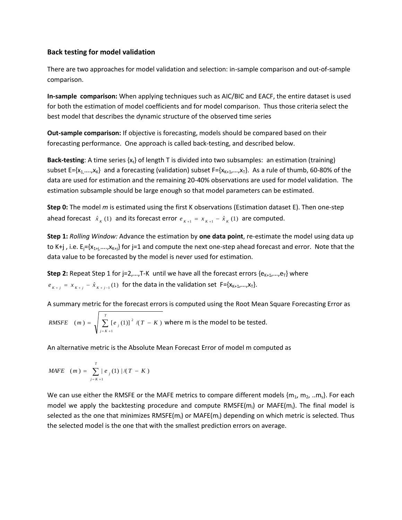#### **Back testing for model validation**

There are two approaches for model validation and selection: in-sample comparison and out-of-sample comparison.

**In-sample comparison:** When applying techniques such as AIC/BIC and EACF, the entire dataset is used for both the estimation of model coefficients and for model comparison. Thus those criteria select the best model that describes the dynamic structure of the observed time series

**Out-sample comparison:** If objective is forecasting, models should be compared based on their forecasting performance. One approach is called back-testing, and described below.

**Back-testing**: A time series {x<sub>t</sub>} of length T is divided into two subsamples: an estimation (training) subset  $E=\{x_1,...,x_k\}$  and a forecasting (validation) subset  $F=\{x_{K+1},...,x_T\}$ . As a rule of thumb, 60-80% of the data are used for estimation and the remaining 20-40% observations are used for model validation. The estimation subsample should be large enough so that model parameters can be estimated.

**Step 0:** The model *m* is estimated using the first K observations (Estimation dataset E). Then one-step ahead forecast  $\hat{x}_{K}(1)$  and its forecast error  $e_{K+1} = x_{K+1} - \hat{x}_{K}(1)$  are computed.

**Step 1:** *Rolling Window:* Advance the estimation by **one data point**, re-estimate the model using data up to K+j, i.e.  $E_i = \{x_{1+i},...,x_{K+i}\}$  for j=1 and compute the next one-step ahead forecast and error. Note that the data value to be forecasted by the model is never used for estimation.

**Step 2:** Repeat Step 1 for  $j=2,...,T-K$  until we have all the forecast errors  $\{e_{K+1},...,e_{T}\}$  where  $e_{K+j} = x_{K+j} - \hat{x}_{K+j-1}(1)$  for the data in the validation set  $F = \{x_{K+1},...,x_T\}.$ 

A summary metric for the forecast errors is computed using the Root Mean Square Forecasting Error as

*RMSFE* (m) = 
$$
\sqrt{\sum_{j=K+1}^{T} [e_j(1)]^2 / (T - K)}
$$
 where m is the model to be tested.

An alternative metric is the Absolute Mean Forecast Error of model m computed as

$$
MAFE \ (m) = \sum_{j=K+1}^{T} |e_j(1)| / (T - K)
$$

We can use either the RMSFE or the MAFE metrics to compare different models  ${m_1, m_2, ... m_s}$ . For each model we apply the backtesting procedure and compute RMSFE(m*i*) or MAFE(mi). The final model is selected as the one that minimizes RMSFE(m*i*) or MAFE(mi) depending on which metric is selected. Thus the selected model is the one that with the smallest prediction errors on average.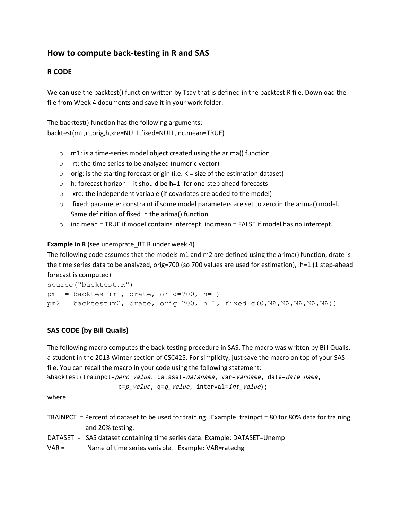# **How to compute back-testing in R and SAS**

## **R CODE**

We can use the backtest() function written by Tsay that is defined in the backtest.R file. Download the file from Week 4 documents and save it in your work folder.

```
The backtest() function has the following arguments:
backtest(m1,rt,orig,h,xre=NULL,fixed=NULL,inc.mean=TRUE)
```
- o m1: is a time-series model object created using the arima() function
- o rt: the time series to be analyzed (numeric vector)
- $\circ$  orig: is the starting forecast origin (i.e. K = size of the estimation dataset)
- o h: forecast horizon it should be **h=1** for one-step ahead forecasts
- o xre: the independent variable (if covariates are added to the model)
- $\circ$  fixed: parameter constraint if some model parameters are set to zero in the arima() model. Same definition of fixed in the arima() function.
- $\circ$  inc.mean = TRUE if model contains intercept. inc.mean = FALSE if model has no intercept.

#### **Example in R** (see unemprate\_BT.R under week 4)

The following code assumes that the models m1 and m2 are defined using the arima() function, drate is the time series data to be analyzed, orig=700 (so 700 values are used for estimation), h=1 (1 step-ahead forecast is computed)

```
source("backtest.R")
pm1 = backtest(m1, drate, orig=700, h=1)
pm2 = backtest(m2, drate, orig=700, h=1, fixed=c(0,NA,NA,NA,NA,NA))
```
# **SAS CODE (by Bill Qualls)**

The following macro computes the back-testing procedure in SAS. The macro was written by Bill Qualls, a student in the 2013 Winter section of CSC425. For simplicity, just save the macro on top of your SAS file. You can recall the macro in your code using the following statement:

```
%backtest(trainpct=perc value, dataset=dataname, var=varname, date=date name,
                    p=p_value, q=q_value, interval=int_value);
```
where

- TRAINPCT = Percent of dataset to be used for training. Example: trainpct = 80 for 80% data for training and 20% testing.
- DATASET = SAS dataset containing time series data. Example: DATASET=Unemp
- VAR = Name of time series variable. Example: VAR=ratechg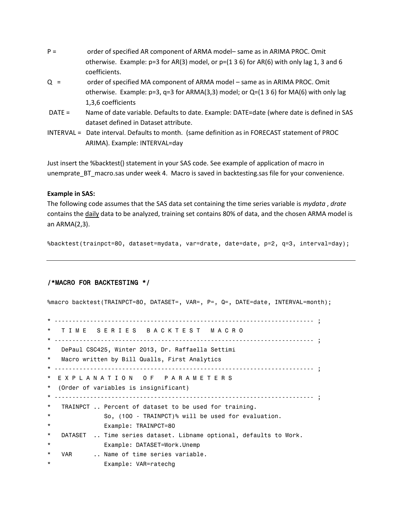- P = order of specified AR component of ARMA model– same as in ARIMA PROC. Omit otherwise. Example:  $p=3$  for AR(3) model, or  $p=(1\ 3\ 6)$  for AR(6) with only lag 1, 3 and 6 coefficients.
- Q = order of specified MA component of ARMA model same as in ARIMA PROC. Omit otherwise. Example:  $p=3$ ,  $q=3$  for ARMA(3,3) model; or  $Q=(136)$  for MA(6) with only lag 1,3,6 coefficients
- DATE = Name of date variable. Defaults to date. Example: DATE=date (where date is defined in SAS dataset defined in Dataset attribute.
- INTERVAL = Date interval. Defaults to month. (same definition as in FORECAST statement of PROC ARIMA). Example: INTERVAL=day

Just insert the %backtest() statement in your SAS code. See example of application of macro in unemprate\_BT\_macro.sas under week 4. Macro is saved in backtesting.sas file for your convenience.

### **Example in SAS:**

The following code assumes that the SAS data set containing the time series variable is *mydata* , *drate* contains the daily data to be analyzed, training set contains 80% of data, and the chosen ARMA model is an ARMA(2,3).

```
%backtest(trainpct=80, dataset=mydata, var=drate, date=date, p=2, q=3, interval=day);
```
### /\*MACRO FOR BACKTESTING \*/

%macro backtest(TRAINPCT=80, DATASET=, VAR=, P=, Q=, DATE=date, INTERVAL=month);

```
* ------------------------------------------------------------------------- ;
  T I M E S E R I E S B A C K T E S T M A C R O
* ------------------------------------------------------------------------- ;
* DePaul CSC425, Winter 2013, Dr. Raffaella Settimi
   Macro written by Bill Qualls, First Analytics
* ------------------------------------------------------------------------- ;
  E X P L A N A T I O N O F P A R A M E T E R S
* (Order of variables is insignificant)
* ------------------------------------------------------------------------- ;
* TRAINPCT .. Percent of dataset to be used for training.
* So, (100 - TRAINPCT)% will be used for evaluation.
               Example: TRAINPCT=80
* DATASET .. Time series dataset. Libname optional, defaults to Work.
* Example: DATASET=Work.Unemp
* VAR .. Name of time series variable.
               Example: VAR=ratechg
```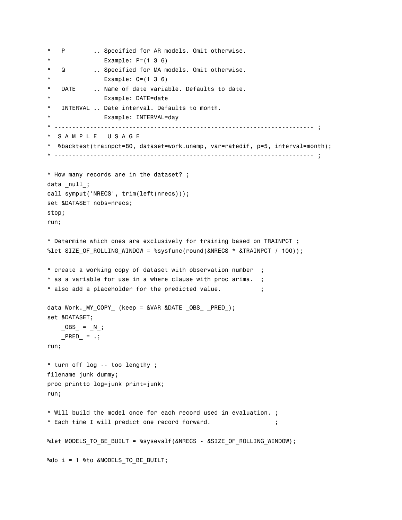```
* P .. Specified for AR models. Omit otherwise.
* Example: P=(1 3 6)
* Q .. Specified for MA models. Omit otherwise.
               Example: Q=(1 \ 3 \ 6)* DATE .. Name of date variable. Defaults to date.
* Example: DATE=date
* INTERVAL .. Date interval. Defaults to month.
              Example: INTERVAL=day
* ------------------------------------------------------------------------- ;
* S A M P L E U S A G E
* %backtest(trainpct=80, dataset=work.unemp, var=ratedif, p=5, interval=month);
* ------------------------------------------------------------------------- ;
* How many records are in the dataset? ;
data _null_;
call symput('NRECS', trim(left(nrecs)));
set &DATASET nobs=nrecs;
stop;
run;
* Determine which ones are exclusively for training based on TRAINPCT ;
%let SIZE OF ROLLING WINDOW = %sysfunc(round(&NRECS * &TRAINPCT / 100));
* create a working copy of dataset with observation number ;
* as a variable for use in a where clause with proc arima. ;
* also add a placeholder for the predicted value. \hspace{1.6cm} ;data Work. MY COPY (keep = &VAR &DATE OBS PRED );
set &DATASET;
   OBS = N;
   PRED_ = .;run;
* turn off log -- too lengthy ;
filename junk dummy;
proc printto log=junk print=junk;
run;
* Will build the model once for each record used in evaluation. ;
* Each time I will predict one record forward. ;
%let MODELS TO BE BUILT = %sysevalf(&NRECS - &SIZE_OF_ROLLING_WINDOW);
%do i = 1 %to &MODELS_TO_BE_BUILT;
```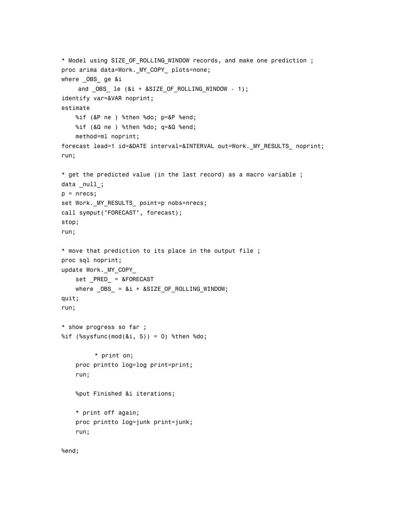```
 * Model using SIZE_OF_ROLLING_WINDOW records, and make one prediction ;
proc arima data=Work. MY COPY plots=none;
where OBS ge &i
      and _OBS_ le (&i + &SIZE_OF_ROLLING_WINDOW - 1);
 identify var=&VAR noprint;
 estimate
     %if (&P ne ) %then %do; p=&P %end;
     %if (&Q ne ) %then %do; q=&Q %end;
     method=ml noprint;
 forecast lead=1 id=&DATE interval=&INTERVAL out=Work._MY_RESULTS_ noprint;
 run;
 * get the predicted value (in the last record) as a macro variable ;
 data _null_;
p = nrecs; set Work._MY_RESULTS_ point=p nobs=nrecs;
 call symput("FORECAST", forecast);
 stop;
 run;
 * move that prediction to its place in the output file ;
 proc sql noprint;
update Work. MY COPY
    set PRED = &FORECAST
    where OBS = 8i + 8SIZE OF ROLLING WINDOW; quit;
 run;
 * show progress so far ;
% if (%sysfunc(mod(&i, 5)) = 0) %then %do;
         * print on;
     proc printto log=log print=print;
     run;
     %put Finished &i iterations;
     * print off again;
     proc printto log=junk print=junk;
     run;
```

```
 %end;
```